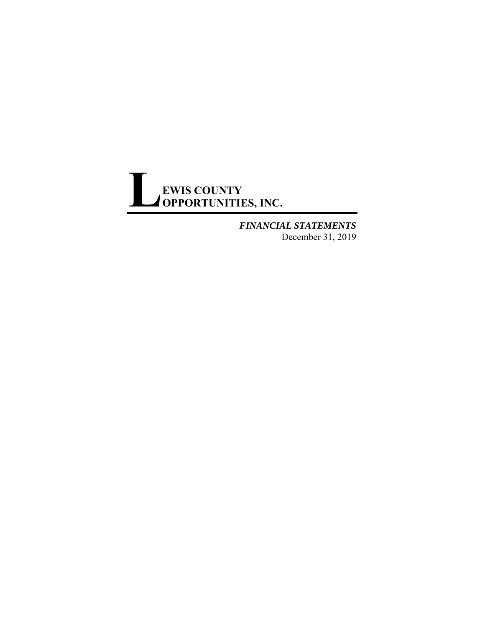# **EWIS COUNTY OPPORTUNITIES, INC. L**

*FINANCIAL STATEMENTS*  December 31, 2019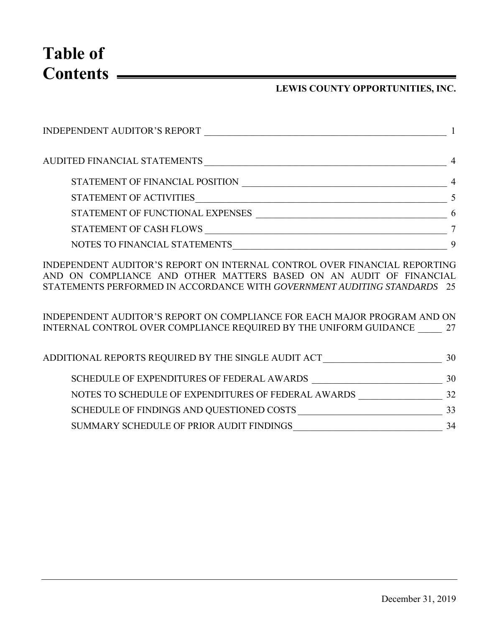**Table of Contents** 

### **LEWIS COUNTY OPPORTUNITIES, INC.**

| <b>INDEPENDENT AUDITOR'S REPORT</b> |   |
|-------------------------------------|---|
| AUDITED FINANCIAL STATEMENTS        | 4 |
| STATEMENT OF FINANCIAL POSITION     |   |
| STATEMENT OF ACTIVITIES             |   |
| STATEMENT OF FUNCTIONAL EXPENSES    |   |
| STATEMENT OF CASH FLOWS             |   |
| NOTES TO FINANCIAL STATEMENTS       |   |

INDEPENDENT AUDITOR'S REPORT ON INTERNAL CONTROL OVER FINANCIAL REPORTING AND ON COMPLIANCE AND OTHER MATTERS BASED ON AN AUDIT OF FINANCIAL STATEMENTS PERFORMED IN ACCORDANCE WITH *GOVERNMENT AUDITING STANDARDS* 25

INDEPENDENT AUDITOR'S REPORT ON COMPLIANCE FOR EACH MAJOR PROGRAM AND ON INTERNAL CONTROL OVER COMPLIANCE REQUIRED BY THE UNIFORM GUIDANCE \_\_\_\_\_ 27

| ADDITIONAL REPORTS REQUIRED BY THE SINGLE AUDIT ACT | 30 |
|-----------------------------------------------------|----|
| SCHEDULE OF EXPENDITURES OF FEDERAL AWARDS          | 30 |
| NOTES TO SCHEDULE OF EXPENDITURES OF FEDERAL AWARDS | 32 |
| SCHEDULE OF FINDINGS AND QUESTIONED COSTS           | 33 |
| SUMMARY SCHEDULE OF PRIOR AUDIT FINDINGS            | 34 |
|                                                     |    |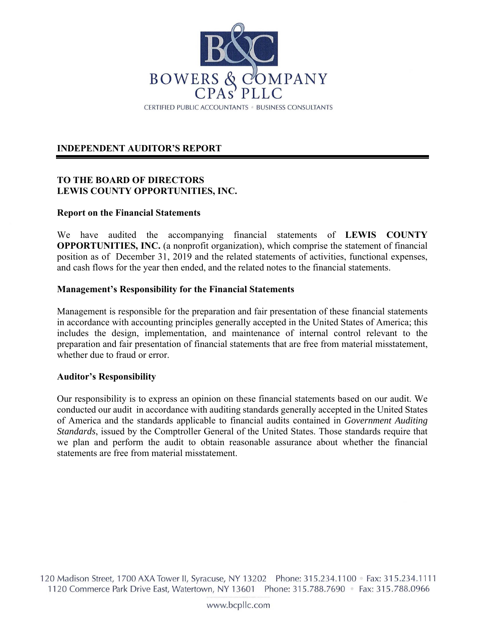

### **INDEPENDENT AUDITOR'S REPORT**

#### **TO THE BOARD OF DIRECTORS LEWIS COUNTY OPPORTUNITIES, INC.**

#### **Report on the Financial Statements**

We have audited the accompanying financial statements of **LEWIS COUNTY OPPORTUNITIES, INC.** (a nonprofit organization), which comprise the statement of financial position as of December 31, 2019 and the related statements of activities, functional expenses, and cash flows for the year then ended, and the related notes to the financial statements.

#### **Management's Responsibility for the Financial Statements**

Management is responsible for the preparation and fair presentation of these financial statements in accordance with accounting principles generally accepted in the United States of America; this includes the design, implementation, and maintenance of internal control relevant to the preparation and fair presentation of financial statements that are free from material misstatement, whether due to fraud or error.

#### **Auditor's Responsibility**

Our responsibility is to express an opinion on these financial statements based on our audit. We conducted our audit in accordance with auditing standards generally accepted in the United States of America and the standards applicable to financial audits contained in *Government Auditing Standards*, issued by the Comptroller General of the United States. Those standards require that we plan and perform the audit to obtain reasonable assurance about whether the financial statements are free from material misstatement.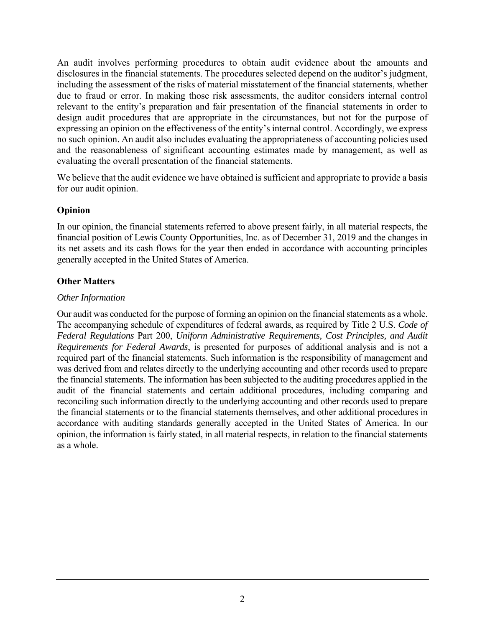An audit involves performing procedures to obtain audit evidence about the amounts and disclosures in the financial statements. The procedures selected depend on the auditor's judgment, including the assessment of the risks of material misstatement of the financial statements, whether due to fraud or error. In making those risk assessments, the auditor considers internal control relevant to the entity's preparation and fair presentation of the financial statements in order to design audit procedures that are appropriate in the circumstances, but not for the purpose of expressing an opinion on the effectiveness of the entity's internal control. Accordingly, we express no such opinion. An audit also includes evaluating the appropriateness of accounting policies used and the reasonableness of significant accounting estimates made by management, as well as evaluating the overall presentation of the financial statements.

We believe that the audit evidence we have obtained is sufficient and appropriate to provide a basis for our audit opinion.

### **Opinion**

In our opinion, the financial statements referred to above present fairly, in all material respects, the financial position of Lewis County Opportunities, Inc. as of December 31, 2019 and the changes in its net assets and its cash flows for the year then ended in accordance with accounting principles generally accepted in the United States of America.

# **Other Matters**

### *Other Information*

Our audit was conducted for the purpose of forming an opinion on the financial statements as a whole. The accompanying schedule of expenditures of federal awards, as required by Title 2 U.S. *Code of Federal Regulations* Part 200, *Uniform Administrative Requirements, Cost Principles, and Audit Requirements for Federal Awards*, is presented for purposes of additional analysis and is not a required part of the financial statements. Such information is the responsibility of management and was derived from and relates directly to the underlying accounting and other records used to prepare the financial statements. The information has been subjected to the auditing procedures applied in the audit of the financial statements and certain additional procedures, including comparing and reconciling such information directly to the underlying accounting and other records used to prepare the financial statements or to the financial statements themselves, and other additional procedures in accordance with auditing standards generally accepted in the United States of America. In our opinion, the information is fairly stated, in all material respects, in relation to the financial statements as a whole.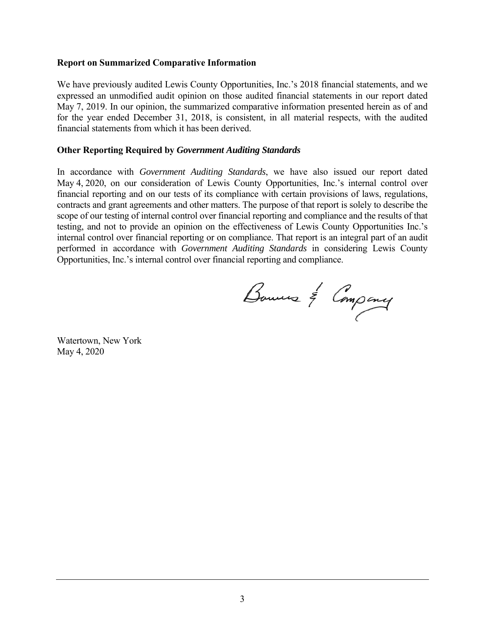#### **Report on Summarized Comparative Information**

We have previously audited Lewis County Opportunities, Inc.'s 2018 financial statements, and we expressed an unmodified audit opinion on those audited financial statements in our report dated May 7, 2019. In our opinion, the summarized comparative information presented herein as of and for the year ended December 31, 2018, is consistent, in all material respects, with the audited financial statements from which it has been derived.

#### **Other Reporting Required by** *Government Auditing Standards*

In accordance with *Government Auditing Standards*, we have also issued our report dated May 4, 2020, on our consideration of Lewis County Opportunities, Inc.'s internal control over financial reporting and on our tests of its compliance with certain provisions of laws, regulations, contracts and grant agreements and other matters. The purpose of that report is solely to describe the scope of our testing of internal control over financial reporting and compliance and the results of that testing, and not to provide an opinion on the effectiveness of Lewis County Opportunities Inc.'s internal control over financial reporting or on compliance. That report is an integral part of an audit performed in accordance with *Government Auditing Standards* in considering Lewis County Opportunities, Inc.'s internal control over financial reporting and compliance.

Bouwers & Company

Watertown, New York May 4, 2020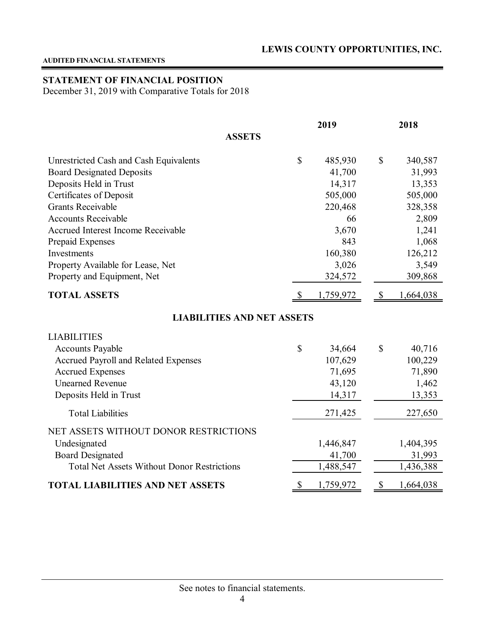#### **AUDITED FINANCIAL STATEMENTS**

### **STATEMENT OF FINANCIAL POSITION**

December 31, 2019 with Comparative Totals for 2018

|                                                    | 2019 |           |               | 2018      |  |
|----------------------------------------------------|------|-----------|---------------|-----------|--|
| <b>ASSETS</b>                                      |      |           |               |           |  |
| Unrestricted Cash and Cash Equivalents             | \$   | 485,930   | \$            | 340,587   |  |
| <b>Board Designated Deposits</b>                   |      | 41,700    |               | 31,993    |  |
| Deposits Held in Trust                             |      | 14,317    |               | 13,353    |  |
| Certificates of Deposit                            |      | 505,000   |               | 505,000   |  |
| <b>Grants Receivable</b>                           |      | 220,468   |               | 328,358   |  |
| <b>Accounts Receivable</b>                         |      | 66        |               | 2,809     |  |
| Accrued Interest Income Receivable                 |      | 3,670     |               | 1,241     |  |
| Prepaid Expenses                                   |      | 843       |               | 1,068     |  |
| Investments                                        |      | 160,380   |               | 126,212   |  |
| Property Available for Lease, Net                  |      | 3,026     |               | 3,549     |  |
| Property and Equipment, Net                        |      | 324,572   |               | 309,868   |  |
| <b>TOTAL ASSETS</b>                                | \$   | 1,759,972 | $\mathcal{S}$ | 1,664,038 |  |
| <b>LIABILITIES AND NET ASSETS</b>                  |      |           |               |           |  |
| <b>LIABILITIES</b>                                 |      |           |               |           |  |
| <b>Accounts Payable</b>                            | \$   | 34,664    | \$            | 40,716    |  |
| Accrued Payroll and Related Expenses               |      | 107,629   |               | 100,229   |  |
| <b>Accrued Expenses</b>                            |      | 71,695    |               | 71,890    |  |
| <b>Unearned Revenue</b>                            |      | 43,120    |               | 1,462     |  |
| Deposits Held in Trust                             |      | 14,317    |               | 13,353    |  |
| <b>Total Liabilities</b>                           |      | 271,425   |               | 227,650   |  |
| NET ASSETS WITHOUT DONOR RESTRICTIONS              |      |           |               |           |  |
| Undesignated                                       |      | 1,446,847 |               | 1,404,395 |  |
| <b>Board Designated</b>                            |      | 41,700    |               | 31,993    |  |
| <b>Total Net Assets Without Donor Restrictions</b> |      | 1,488,547 |               | 1,436,388 |  |
| <b>TOTAL LIABILITIES AND NET ASSETS</b>            | \$   | 1,759,972 | \$            | 1,664,038 |  |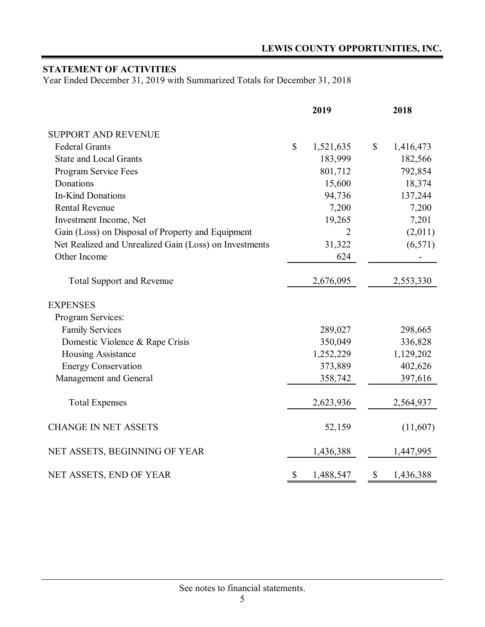# **STATEMENT OF ACTIVITIES**

Year Ended December 31, 2019 with Summarized Totals for December 31, 2018

|                                                        |              | 2019           |               | 2018      |
|--------------------------------------------------------|--------------|----------------|---------------|-----------|
| <b>SUPPORT AND REVENUE</b>                             |              |                |               |           |
| <b>Federal Grants</b>                                  | $\mathbb{S}$ | 1,521,635      | $\mathcal{S}$ | 1,416,473 |
| <b>State and Local Grants</b>                          |              | 183,999        |               | 182,566   |
| Program Service Fees                                   |              | 801,712        |               | 792,854   |
| Donations                                              |              | 15,600         |               | 18,374    |
| <b>In-Kind Donations</b>                               |              | 94,736         |               | 137,244   |
| <b>Rental Revenue</b>                                  |              | 7,200          |               | 7,200     |
| Investment Income, Net                                 |              | 19,265         |               | 7,201     |
| Gain (Loss) on Disposal of Property and Equipment      |              | $\overline{2}$ |               | (2,011)   |
| Net Realized and Unrealized Gain (Loss) on Investments |              | 31,322         |               | (6, 571)  |
| Other Income                                           |              | 624            |               |           |
| <b>Total Support and Revenue</b>                       |              | 2,676,095      |               | 2,553,330 |
| <b>EXPENSES</b>                                        |              |                |               |           |
| Program Services:                                      |              |                |               |           |
| <b>Family Services</b>                                 |              | 289,027        |               | 298,665   |
| Domestic Violence & Rape Crisis                        |              | 350,049        |               | 336,828   |
| Housing Assistance                                     |              | 1,252,229      |               | 1,129,202 |
| <b>Energy Conservation</b>                             |              | 373,889        |               | 402,626   |
| Management and General                                 |              | 358,742        |               | 397,616   |
| <b>Total Expenses</b>                                  |              | 2,623,936      |               | 2,564,937 |
| <b>CHANGE IN NET ASSETS</b>                            |              | 52,159         |               | (11,607)  |
| NET ASSETS, BEGINNING OF YEAR                          |              | 1,436,388      |               | 1,447,995 |
| NET ASSETS, END OF YEAR                                | \$           | 1,488,547      | \$            | 1,436,388 |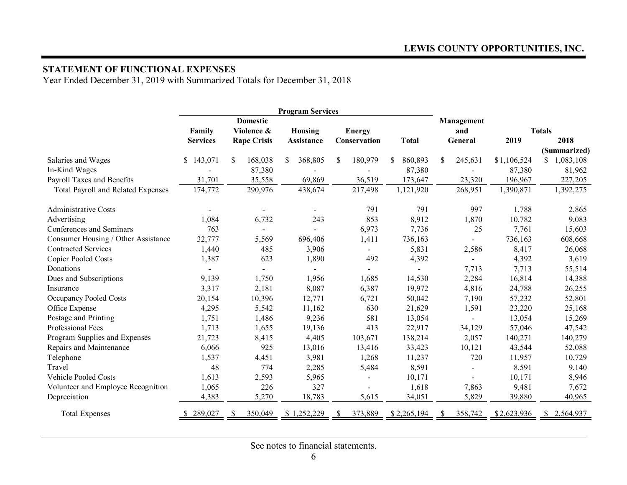#### **STATEMENT OF FUNCTIONAL EXPENSES**

Year Ended December 31, 2019 with Summarized Totals for December 31, 2018

| <b>Program Services</b>             |                 |   |                    |    |                |   |                          |   |                |               |                          |             |               |              |
|-------------------------------------|-----------------|---|--------------------|----|----------------|---|--------------------------|---|----------------|---------------|--------------------------|-------------|---------------|--------------|
|                                     |                 |   | <b>Domestic</b>    |    |                |   |                          |   |                |               | Management               |             |               |              |
|                                     | Family          |   | Violence &         |    | Housing        |   | <b>Energy</b>            |   |                |               | and                      |             | <b>Totals</b> |              |
|                                     | <b>Services</b> |   | <b>Rape Crisis</b> |    | Assistance     |   | Conservation             |   | <b>Total</b>   |               | General                  | 2019        |               | 2018         |
|                                     |                 |   |                    |    |                |   |                          |   |                |               |                          |             |               | (Summarized) |
| Salaries and Wages                  | \$143,071       | S | 168,038            | S. | 368,805        | S | 180,979                  | S | 860,893        | <sup>\$</sup> | 245,631                  | \$1,106,524 | S             | 1,083,108    |
| In-Kind Wages                       |                 |   | 87,380             |    |                |   |                          |   | 87,380         |               |                          | 87,380      |               | 81,962       |
| Payroll Taxes and Benefits          | 31,701          |   | 35,558             |    | 69,869         |   | 36,519                   |   | 173,647        |               | 23,320                   | 196,967     |               | 227,205      |
| Total Payroll and Related Expenses  | 174,772         |   | 290,976            |    | 438,674        |   | 217,498                  |   | 1,121,920      |               | 268,951                  | 1,390,871   |               | 1,392,275    |
| <b>Administrative Costs</b>         |                 |   |                    |    | $\blacksquare$ |   | 791                      |   | 791            |               | 997                      | 1,788       |               | 2,865        |
| Advertising                         | 1,084           |   | 6,732              |    | 243            |   | 853                      |   | 8,912          |               | 1,870                    | 10,782      |               | 9,083        |
| Conferences and Seminars            | 763             |   |                    |    |                |   | 6,973                    |   | 7,736          |               | 25                       | 7,761       |               | 15,603       |
| Consumer Housing / Other Assistance | 32,777          |   | 5,569              |    | 696,406        |   | 1,411                    |   | 736,163        |               | $\overline{\phantom{a}}$ | 736,163     |               | 608,668      |
| <b>Contracted Services</b>          | 1,440           |   | 485                |    | 3,906          |   | $\overline{\phantom{a}}$ |   | 5,831          |               | 2,586                    | 8,417       |               | 26,068       |
| <b>Copier Pooled Costs</b>          | 1,387           |   | 623                |    | 1,890          |   | 492                      |   | 4,392          |               | $\overline{\phantom{a}}$ | 4,392       |               | 3,619        |
| Donations                           |                 |   |                    |    |                |   |                          |   | $\blacksquare$ |               | 7,713                    | 7,713       |               | 55,514       |
| Dues and Subscriptions              | 9,139           |   | 1,750              |    | 1,956          |   | 1,685                    |   | 14,530         |               | 2,284                    | 16,814      |               | 14,388       |
| Insurance                           | 3,317           |   | 2,181              |    | 8,087          |   | 6,387                    |   | 19,972         |               | 4,816                    | 24,788      |               | 26,255       |
| <b>Occupancy Pooled Costs</b>       | 20,154          |   | 10,396             |    | 12,771         |   | 6,721                    |   | 50,042         |               | 7,190                    | 57,232      |               | 52,801       |
| Office Expense                      | 4,295           |   | 5,542              |    | 11,162         |   | 630                      |   | 21,629         |               | 1,591                    | 23,220      |               | 25,168       |
| Postage and Printing                | 1,751           |   | 1,486              |    | 9,236          |   | 581                      |   | 13,054         |               | $\sim$                   | 13,054      |               | 15,269       |
| Professional Fees                   | 1,713           |   | 1,655              |    | 19,136         |   | 413                      |   | 22,917         |               | 34,129                   | 57,046      |               | 47,542       |
| Program Supplies and Expenses       | 21,723          |   | 8,415              |    | 4,405          |   | 103,671                  |   | 138,214        |               | 2,057                    | 140,271     |               | 140,279      |
| Repairs and Maintenance             | 6,066           |   | 925                |    | 13,016         |   | 13,416                   |   | 33,423         |               | 10,121                   | 43,544      |               | 52,088       |
| Telephone                           | 1,537           |   | 4,451              |    | 3,981          |   | 1,268                    |   | 11,237         |               | 720                      | 11,957      |               | 10,729       |
| Travel                              | 48              |   | 774                |    | 2,285          |   | 5,484                    |   | 8,591          |               | $\overline{a}$           | 8,591       |               | 9,140        |
| <b>Vehicle Pooled Costs</b>         | 1,613           |   | 2,593              |    | 5,965          |   |                          |   | 10,171         |               | $\blacksquare$           | 10,171      |               | 8,946        |
| Volunteer and Employee Recognition  | 1,065           |   | 226                |    | 327            |   |                          |   | 1,618          |               | 7,863                    | 9,481       |               | 7,672        |
| Depreciation                        | 4,383           |   | 5,270              |    | 18,783         |   | 5,615                    |   | 34,051         |               | 5,829                    | 39,880      |               | 40,965       |
| <b>Total Expenses</b>               | 289,027         |   | 350,049            |    | \$1,252,229    |   | 373,889                  |   | \$2,265,194    |               | 358,742                  | \$2,623,936 |               | \$2,564,937  |

See notes to financial statements.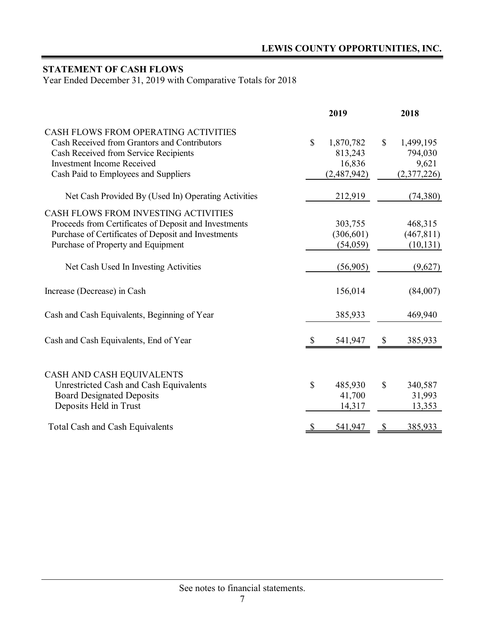# **STATEMENT OF CASH FLOWS**

Year Ended December 31, 2019 with Comparative Totals for 2018

|                                                                                                                                                                                                            |               | 2019                                          |              | 2018                                         |
|------------------------------------------------------------------------------------------------------------------------------------------------------------------------------------------------------------|---------------|-----------------------------------------------|--------------|----------------------------------------------|
| CASH FLOWS FROM OPERATING ACTIVITIES<br>Cash Received from Grantors and Contributors<br>Cash Received from Service Recipients<br><b>Investment Income Received</b><br>Cash Paid to Employees and Suppliers | \$            | 1,870,782<br>813,243<br>16,836<br>(2,487,942) | $\mathbb{S}$ | 1,499,195<br>794,030<br>9,621<br>(2,377,226) |
| Net Cash Provided By (Used In) Operating Activities                                                                                                                                                        |               | 212,919                                       |              | (74, 380)                                    |
| CASH FLOWS FROM INVESTING ACTIVITIES<br>Proceeds from Certificates of Deposit and Investments<br>Purchase of Certificates of Deposit and Investments<br>Purchase of Property and Equipment                 |               | 303,755<br>(306, 601)<br>(54,059)             |              | 468,315<br>(467, 811)<br>(10, 131)           |
| Net Cash Used In Investing Activities                                                                                                                                                                      |               | (56,905)                                      |              | (9,627)                                      |
| Increase (Decrease) in Cash                                                                                                                                                                                |               | 156,014                                       |              | (84,007)                                     |
| Cash and Cash Equivalents, Beginning of Year                                                                                                                                                               |               | 385,933                                       |              | 469,940                                      |
| Cash and Cash Equivalents, End of Year                                                                                                                                                                     |               | 541,947                                       | \$           | 385,933                                      |
| CASH AND CASH EQUIVALENTS<br>Unrestricted Cash and Cash Equivalents<br><b>Board Designated Deposits</b><br>Deposits Held in Trust                                                                          | \$            | 485,930<br>41,700<br>14,317                   | \$           | 340,587<br>31,993<br>13,353                  |
| <b>Total Cash and Cash Equivalents</b>                                                                                                                                                                     | $\mathcal{S}$ | 541,947                                       | \$           | 385,933                                      |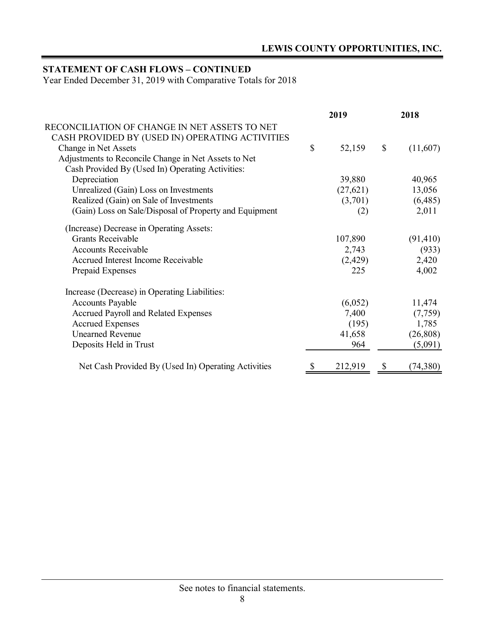# **STATEMENT OF CASH FLOWS – CONTINUED**

Year Ended December 31, 2019 with Comparative Totals for 2018

|                                                        | 2019         |               | 2018      |
|--------------------------------------------------------|--------------|---------------|-----------|
| RECONCILIATION OF CHANGE IN NET ASSETS TO NET          |              |               |           |
| CASH PROVIDED BY (USED IN) OPERATING ACTIVITIES        |              |               |           |
| Change in Net Assets                                   | \$<br>52,159 | $\mathcal{S}$ | (11,607)  |
| Adjustments to Reconcile Change in Net Assets to Net   |              |               |           |
| Cash Provided By (Used In) Operating Activities:       |              |               |           |
| Depreciation                                           | 39,880       |               | 40,965    |
| Unrealized (Gain) Loss on Investments                  | (27, 621)    |               | 13,056    |
| Realized (Gain) on Sale of Investments                 | (3,701)      |               | (6,485)   |
| (Gain) Loss on Sale/Disposal of Property and Equipment | (2)          |               | 2,011     |
| (Increase) Decrease in Operating Assets:               |              |               |           |
| <b>Grants Receivable</b>                               | 107,890      |               | (91, 410) |
| <b>Accounts Receivable</b>                             | 2,743        |               | (933)     |
| Accrued Interest Income Receivable                     | (2,429)      |               | 2,420     |
| Prepaid Expenses                                       | 225          |               | 4,002     |
| Increase (Decrease) in Operating Liabilities:          |              |               |           |
| <b>Accounts Payable</b>                                | (6,052)      |               | 11,474    |
| <b>Accrued Payroll and Related Expenses</b>            | 7,400        |               | (7,759)   |
| <b>Accrued Expenses</b>                                | (195)        |               | 1,785     |
| <b>Unearned Revenue</b>                                | 41,658       |               | (26, 808) |
| Deposits Held in Trust                                 | 964          |               | (5,091)   |
| Net Cash Provided By (Used In) Operating Activities    | 212,919      | S             | (74, 380) |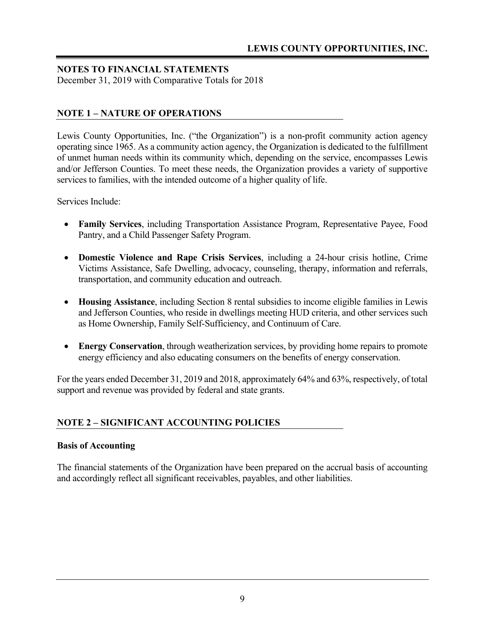December 31, 2019 with Comparative Totals for 2018

### **NOTE 1 – NATURE OF OPERATIONS**

Lewis County Opportunities, Inc. ("the Organization") is a non-profit community action agency operating since 1965. As a community action agency, the Organization is dedicated to the fulfillment of unmet human needs within its community which, depending on the service, encompasses Lewis and/or Jefferson Counties. To meet these needs, the Organization provides a variety of supportive services to families, with the intended outcome of a higher quality of life.

Services Include:

- **Family Services**, including Transportation Assistance Program, Representative Payee, Food Pantry, and a Child Passenger Safety Program.
- **Domestic Violence and Rape Crisis Services**, including a 24-hour crisis hotline, Crime Victims Assistance, Safe Dwelling, advocacy, counseling, therapy, information and referrals, transportation, and community education and outreach.
- **Housing Assistance**, including Section 8 rental subsidies to income eligible families in Lewis and Jefferson Counties, who reside in dwellings meeting HUD criteria, and other services such as Home Ownership, Family Self-Sufficiency, and Continuum of Care.
- **Energy Conservation**, through weatherization services, by providing home repairs to promote energy efficiency and also educating consumers on the benefits of energy conservation.

For the years ended December 31, 2019 and 2018, approximately 64% and 63%, respectively, of total support and revenue was provided by federal and state grants.

### **NOTE 2 – SIGNIFICANT ACCOUNTING POLICIES**

#### **Basis of Accounting**

The financial statements of the Organization have been prepared on the accrual basis of accounting and accordingly reflect all significant receivables, payables, and other liabilities.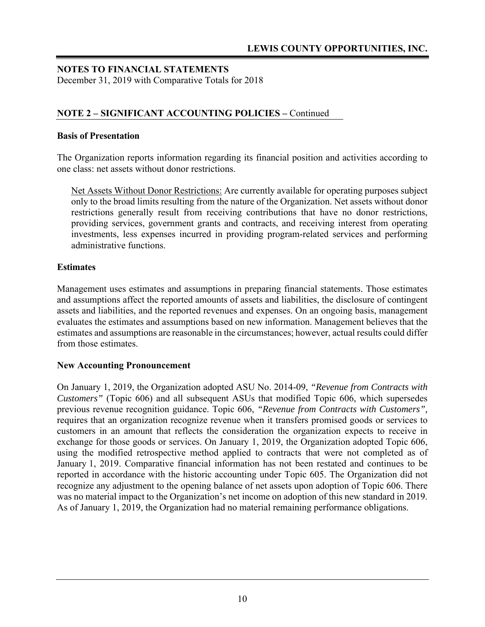December 31, 2019 with Comparative Totals for 2018

### **NOTE 2 – SIGNIFICANT ACCOUNTING POLICIES –** Continued

#### **Basis of Presentation**

The Organization reports information regarding its financial position and activities according to one class: net assets without donor restrictions.

Net Assets Without Donor Restrictions: Are currently available for operating purposes subject only to the broad limits resulting from the nature of the Organization. Net assets without donor restrictions generally result from receiving contributions that have no donor restrictions, providing services, government grants and contracts, and receiving interest from operating investments, less expenses incurred in providing program-related services and performing administrative functions.

#### **Estimates**

Management uses estimates and assumptions in preparing financial statements. Those estimates and assumptions affect the reported amounts of assets and liabilities, the disclosure of contingent assets and liabilities, and the reported revenues and expenses. On an ongoing basis, management evaluates the estimates and assumptions based on new information. Management believes that the estimates and assumptions are reasonable in the circumstances; however, actual results could differ from those estimates.

#### **New Accounting Pronouncement**

On January 1, 2019, the Organization adopted ASU No. 2014-09, *"Revenue from Contracts with Customers"* (Topic 606) and all subsequent ASUs that modified Topic 606, which supersedes previous revenue recognition guidance. Topic 606, *"Revenue from Contracts with Customers",*  requires that an organization recognize revenue when it transfers promised goods or services to customers in an amount that reflects the consideration the organization expects to receive in exchange for those goods or services. On January 1, 2019, the Organization adopted Topic 606, using the modified retrospective method applied to contracts that were not completed as of January 1, 2019. Comparative financial information has not been restated and continues to be reported in accordance with the historic accounting under Topic 605. The Organization did not recognize any adjustment to the opening balance of net assets upon adoption of Topic 606. There was no material impact to the Organization's net income on adoption of this new standard in 2019. As of January 1, 2019, the Organization had no material remaining performance obligations.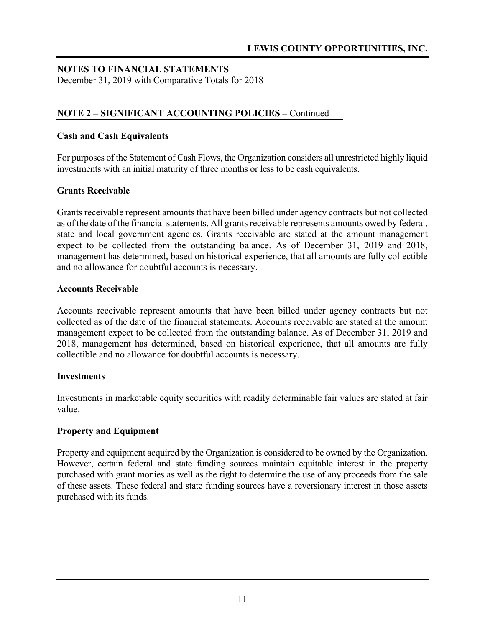December 31, 2019 with Comparative Totals for 2018

### **NOTE 2 – SIGNIFICANT ACCOUNTING POLICIES –** Continued

#### **Cash and Cash Equivalents**

For purposes of the Statement of Cash Flows, the Organization considers all unrestricted highly liquid investments with an initial maturity of three months or less to be cash equivalents.

#### **Grants Receivable**

Grants receivable represent amounts that have been billed under agency contracts but not collected as of the date of the financial statements. All grants receivable represents amounts owed by federal, state and local government agencies. Grants receivable are stated at the amount management expect to be collected from the outstanding balance. As of December 31, 2019 and 2018, management has determined, based on historical experience, that all amounts are fully collectible and no allowance for doubtful accounts is necessary.

#### **Accounts Receivable**

Accounts receivable represent amounts that have been billed under agency contracts but not collected as of the date of the financial statements. Accounts receivable are stated at the amount management expect to be collected from the outstanding balance. As of December 31, 2019 and 2018, management has determined, based on historical experience, that all amounts are fully collectible and no allowance for doubtful accounts is necessary.

#### **Investments**

Investments in marketable equity securities with readily determinable fair values are stated at fair value.

#### **Property and Equipment**

Property and equipment acquired by the Organization is considered to be owned by the Organization. However, certain federal and state funding sources maintain equitable interest in the property purchased with grant monies as well as the right to determine the use of any proceeds from the sale of these assets. These federal and state funding sources have a reversionary interest in those assets purchased with its funds.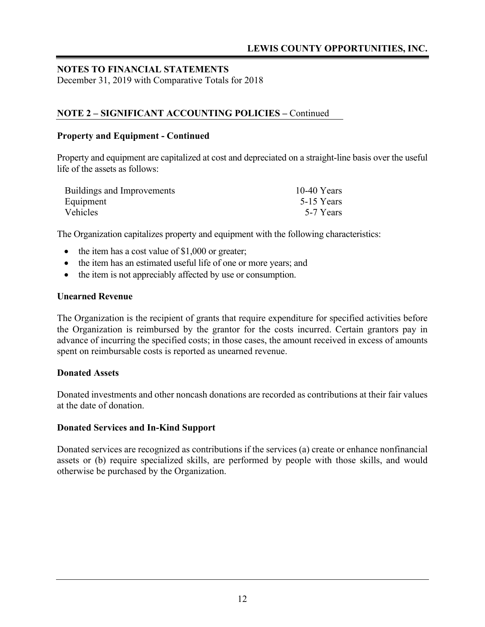December 31, 2019 with Comparative Totals for 2018

### **NOTE 2 – SIGNIFICANT ACCOUNTING POLICIES –** Continued

#### **Property and Equipment - Continued**

Property and equipment are capitalized at cost and depreciated on a straight-line basis over the useful life of the assets as follows:

| Buildings and Improvements | $10-40$ Years |
|----------------------------|---------------|
| Equipment                  | 5-15 Years    |
| Vehicles                   | 5-7 Years     |

The Organization capitalizes property and equipment with the following characteristics:

- $\bullet$  the item has a cost value of \$1,000 or greater;
- the item has an estimated useful life of one or more years; and
- the item is not appreciably affected by use or consumption.

#### **Unearned Revenue**

The Organization is the recipient of grants that require expenditure for specified activities before the Organization is reimbursed by the grantor for the costs incurred. Certain grantors pay in advance of incurring the specified costs; in those cases, the amount received in excess of amounts spent on reimbursable costs is reported as unearned revenue.

#### **Donated Assets**

Donated investments and other noncash donations are recorded as contributions at their fair values at the date of donation.

#### **Donated Services and In-Kind Support**

Donated services are recognized as contributions if the services (a) create or enhance nonfinancial assets or (b) require specialized skills, are performed by people with those skills, and would otherwise be purchased by the Organization.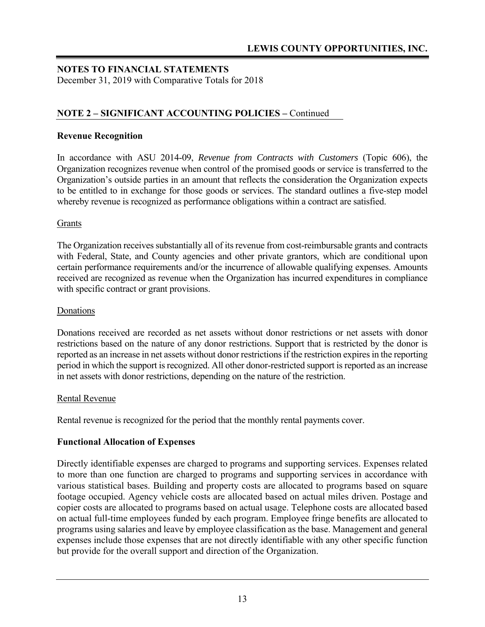December 31, 2019 with Comparative Totals for 2018

### **NOTE 2 – SIGNIFICANT ACCOUNTING POLICIES –** Continued

#### **Revenue Recognition**

In accordance with ASU 2014-09, *Revenue from Contracts with Customers* (Topic 606), the Organization recognizes revenue when control of the promised goods or service is transferred to the Organization's outside parties in an amount that reflects the consideration the Organization expects to be entitled to in exchange for those goods or services. The standard outlines a five-step model whereby revenue is recognized as performance obligations within a contract are satisfied.

#### Grants

The Organization receives substantially all of its revenue from cost-reimbursable grants and contracts with Federal, State, and County agencies and other private grantors, which are conditional upon certain performance requirements and/or the incurrence of allowable qualifying expenses. Amounts received are recognized as revenue when the Organization has incurred expenditures in compliance with specific contract or grant provisions.

#### Donations

Donations received are recorded as net assets without donor restrictions or net assets with donor restrictions based on the nature of any donor restrictions. Support that is restricted by the donor is reported as an increase in net assets without donor restrictions if the restriction expires in the reporting period in which the support is recognized. All other donor-restricted support is reported as an increase in net assets with donor restrictions, depending on the nature of the restriction.

#### Rental Revenue

Rental revenue is recognized for the period that the monthly rental payments cover.

#### **Functional Allocation of Expenses**

Directly identifiable expenses are charged to programs and supporting services. Expenses related to more than one function are charged to programs and supporting services in accordance with various statistical bases. Building and property costs are allocated to programs based on square footage occupied. Agency vehicle costs are allocated based on actual miles driven. Postage and copier costs are allocated to programs based on actual usage. Telephone costs are allocated based on actual full-time employees funded by each program. Employee fringe benefits are allocated to programs using salaries and leave by employee classification as the base. Management and general expenses include those expenses that are not directly identifiable with any other specific function but provide for the overall support and direction of the Organization.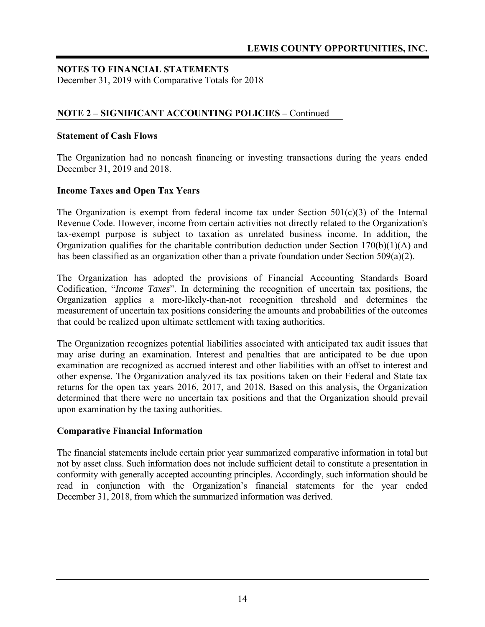December 31, 2019 with Comparative Totals for 2018

### **NOTE 2 – SIGNIFICANT ACCOUNTING POLICIES –** Continued

#### **Statement of Cash Flows**

The Organization had no noncash financing or investing transactions during the years ended December 31, 2019 and 2018.

#### **Income Taxes and Open Tax Years**

The Organization is exempt from federal income tax under Section  $501(c)(3)$  of the Internal Revenue Code. However, income from certain activities not directly related to the Organization's tax-exempt purpose is subject to taxation as unrelated business income. In addition, the Organization qualifies for the charitable contribution deduction under Section  $170(b)(1)(A)$  and has been classified as an organization other than a private foundation under Section 509(a)(2).

The Organization has adopted the provisions of Financial Accounting Standards Board Codification, "*Income Taxes*". In determining the recognition of uncertain tax positions, the Organization applies a more-likely-than-not recognition threshold and determines the measurement of uncertain tax positions considering the amounts and probabilities of the outcomes that could be realized upon ultimate settlement with taxing authorities.

The Organization recognizes potential liabilities associated with anticipated tax audit issues that may arise during an examination. Interest and penalties that are anticipated to be due upon examination are recognized as accrued interest and other liabilities with an offset to interest and other expense. The Organization analyzed its tax positions taken on their Federal and State tax returns for the open tax years 2016, 2017, and 2018. Based on this analysis, the Organization determined that there were no uncertain tax positions and that the Organization should prevail upon examination by the taxing authorities.

#### **Comparative Financial Information**

The financial statements include certain prior year summarized comparative information in total but not by asset class. Such information does not include sufficient detail to constitute a presentation in conformity with generally accepted accounting principles. Accordingly, such information should be read in conjunction with the Organization's financial statements for the year ended December 31, 2018, from which the summarized information was derived.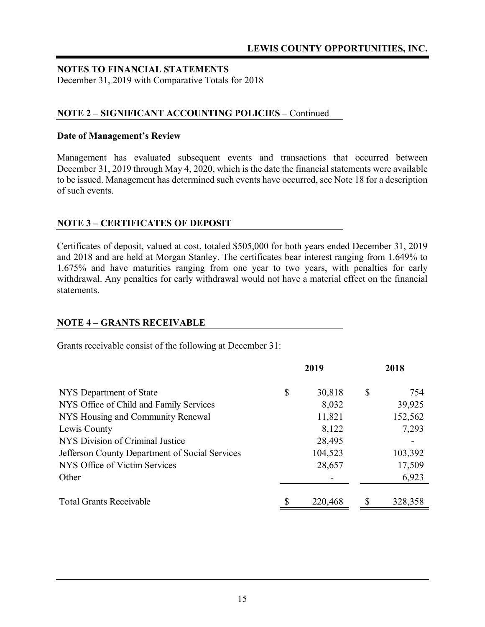December 31, 2019 with Comparative Totals for 2018

### **NOTE 2 – SIGNIFICANT ACCOUNTING POLICIES –** Continued

#### **Date of Management's Review**

Management has evaluated subsequent events and transactions that occurred between December 31, 2019 through May 4, 2020, which is the date the financial statements were available to be issued. Management has determined such events have occurred, see Note 18 for a description of such events.

#### **NOTE 3 – CERTIFICATES OF DEPOSIT**

Certificates of deposit, valued at cost, totaled \$505,000 for both years ended December 31, 2019 and 2018 and are held at Morgan Stanley. The certificates bear interest ranging from 1.649% to 1.675% and have maturities ranging from one year to two years, with penalties for early withdrawal. Any penalties for early withdrawal would not have a material effect on the financial statements.

#### **NOTE 4 – GRANTS RECEIVABLE**

Grants receivable consist of the following at December 31:

|                                                | 2019         | 2018 |         |  |
|------------------------------------------------|--------------|------|---------|--|
| NYS Department of State                        | \$<br>30,818 | \$   | 754     |  |
| NYS Office of Child and Family Services        | 8,032        |      | 39,925  |  |
| NYS Housing and Community Renewal              | 11,821       |      | 152,562 |  |
| Lewis County                                   | 8,122        |      | 7,293   |  |
| NYS Division of Criminal Justice               | 28,495       |      |         |  |
| Jefferson County Department of Social Services | 104,523      |      | 103,392 |  |
| NYS Office of Victim Services                  | 28,657       |      | 17,509  |  |
| Other                                          |              |      | 6,923   |  |
|                                                |              |      |         |  |
| <b>Total Grants Receivable</b>                 | 220,468      | S    | 328,358 |  |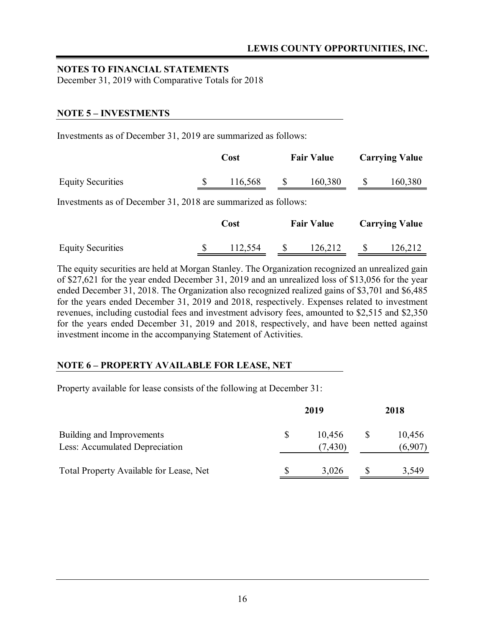December 31, 2019 with Comparative Totals for 2018

### **NOTE 5 – INVESTMENTS**

Investments as of December 31, 2019 are summarized as follows:

|                          | <b>Fair Value</b><br>Cost |         | <b>Carrying Value</b> |         |         |
|--------------------------|---------------------------|---------|-----------------------|---------|---------|
| <b>Equity Securities</b> |                           | 116,568 |                       | 160,380 | 160,380 |

Investments as of December 31, 2018 are summarized as follows:

|                          | Cost    | <b>Fair Value</b> |         | <b>Carrying Value</b> |
|--------------------------|---------|-------------------|---------|-----------------------|
| <b>Equity Securities</b> | 112,554 |                   | 126,212 | 126,212               |

The equity securities are held at Morgan Stanley. The Organization recognized an unrealized gain of \$27,621 for the year ended December 31, 2019 and an unrealized loss of \$13,056 for the year ended December 31, 2018. The Organization also recognized realized gains of \$3,701 and \$6,485 for the years ended December 31, 2019 and 2018, respectively. Expenses related to investment revenues, including custodial fees and investment advisory fees, amounted to \$2,515 and \$2,350 for the years ended December 31, 2019 and 2018, respectively, and have been netted against investment income in the accompanying Statement of Activities.

### **NOTE 6 – PROPERTY AVAILABLE FOR LEASE, NET**

Property available for lease consists of the following at December 31:

|                                                             |  | 2018               |  |                   |  |
|-------------------------------------------------------------|--|--------------------|--|-------------------|--|
| Building and Improvements<br>Less: Accumulated Depreciation |  | 10,456<br>(7, 430) |  | 10,456<br>(6,907) |  |
| Total Property Available for Lease, Net                     |  | 3,026              |  | 3,549             |  |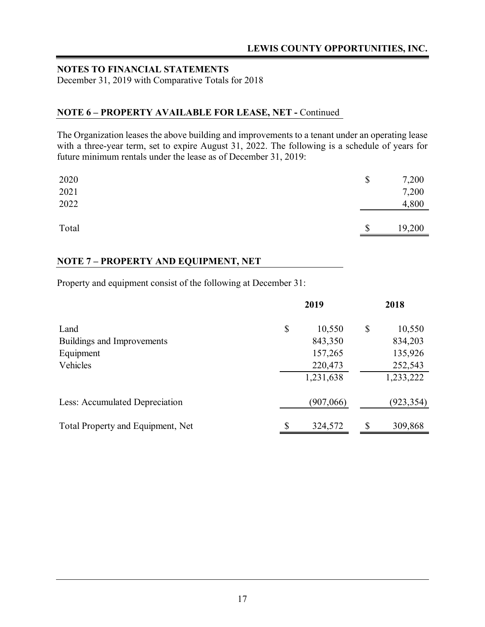December 31, 2019 with Comparative Totals for 2018

### **NOTE 6 – PROPERTY AVAILABLE FOR LEASE, NET -** Continued

The Organization leases the above building and improvements to a tenant under an operating lease with a three-year term, set to expire August 31, 2022. The following is a schedule of years for future minimum rentals under the lease as of December 31, 2019:

| 2020<br>2021<br>2022 | \$                        | 7,200<br>7,200<br>4,800 |
|----------------------|---------------------------|-------------------------|
| Total                | $\boldsymbol{\mathsf{S}}$ | 19,200                  |

### **NOTE 7 – PROPERTY AND EQUIPMENT, NET**

Property and equipment consist of the following at December 31:

|                                   | 2019          |    |            |
|-----------------------------------|---------------|----|------------|
| Land                              | \$<br>10,550  | \$ | 10,550     |
| Buildings and Improvements        | 843,350       |    | 834,203    |
| Equipment                         | 157,265       |    | 135,926    |
| Vehicles                          | 220,473       |    | 252,543    |
|                                   | 1,231,638     |    | 1,233,222  |
| Less: Accumulated Depreciation    | (907,066)     |    | (923, 354) |
| Total Property and Equipment, Net | \$<br>324,572 | \$ | 309,868    |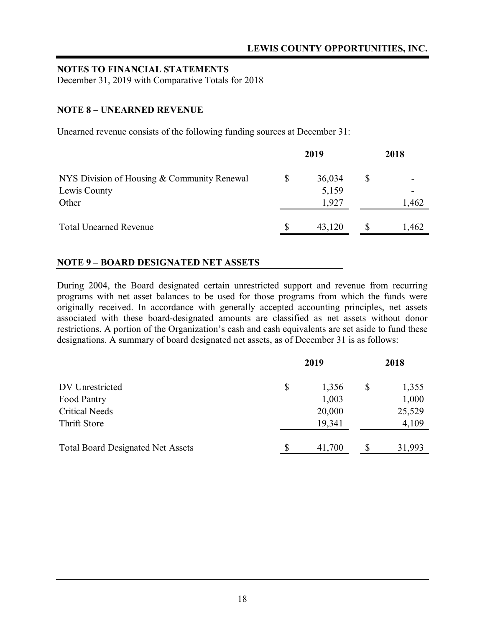December 31, 2019 with Comparative Totals for 2018

#### **NOTE 8 – UNEARNED REVENUE**

Unearned revenue consists of the following funding sources at December 31:

|                                             |   | 2019   | 2018  |  |  |
|---------------------------------------------|---|--------|-------|--|--|
| NYS Division of Housing & Community Renewal | S | 36,034 | \$    |  |  |
| Lewis County                                |   | 5,159  |       |  |  |
| Other                                       |   | 1.927  | 1,462 |  |  |
| <b>Total Unearned Revenue</b>               |   | 43,120 | 1,462 |  |  |

#### **NOTE 9 – BOARD DESIGNATED NET ASSETS**

During 2004, the Board designated certain unrestricted support and revenue from recurring programs with net asset balances to be used for those programs from which the funds were originally received. In accordance with generally accepted accounting principles, net assets associated with these board-designated amounts are classified as net assets without donor restrictions. A portion of the Organization's cash and cash equivalents are set aside to fund these designations. A summary of board designated net assets, as of December 31 is as follows:

|                                          |              | 2018   |    |        |
|------------------------------------------|--------------|--------|----|--------|
| DV Unrestricted                          | $\mathbb{S}$ | 1,356  | \$ | 1,355  |
| Food Pantry                              |              | 1,003  |    | 1,000  |
| <b>Critical Needs</b>                    |              | 20,000 |    | 25,529 |
| Thrift Store                             |              | 19,341 |    | 4,109  |
| <b>Total Board Designated Net Assets</b> | S            | 41,700 | \$ | 31,993 |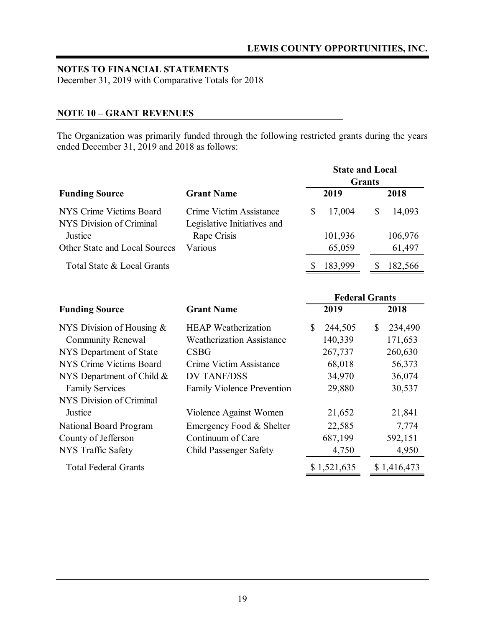December 31, 2019 with Comparative Totals for 2018

#### **NOTE 10 – GRANT REVENUES**

The Organization was primarily funded through the following restricted grants during the years ended December 31, 2019 and 2018 as follows:

|                                                     |                                                        |              | <b>State and Local</b> |               |         |
|-----------------------------------------------------|--------------------------------------------------------|--------------|------------------------|---------------|---------|
|                                                     |                                                        |              |                        | <b>Grants</b> |         |
| <b>Funding Source</b>                               | <b>Grant Name</b>                                      |              | 2019                   |               | 2018    |
| NYS Crime Victims Board<br>NYS Division of Criminal | Crime Victim Assistance<br>Legislative Initiatives and | \$           | 17,004                 | \$            | 14,093  |
| Justice                                             | Rape Crisis                                            |              | 101,936                |               | 106,976 |
| Other State and Local Sources                       | Various                                                |              | 65,059                 |               | 61,497  |
| Total State & Local Grants                          |                                                        | -S           | 183,999                | S             | 182,566 |
|                                                     |                                                        |              |                        |               |         |
|                                                     |                                                        |              | <b>Federal Grants</b>  |               |         |
| <b>Funding Source</b>                               | <b>Grant Name</b>                                      |              | 2019                   |               | 2018    |
| NYS Division of Housing $&$                         | <b>HEAP</b> Weatherization                             | $\mathbb{S}$ | 244,505                | \$            | 234,490 |
| <b>Community Renewal</b>                            | <b>Weatherization Assistance</b>                       |              | 140,339                |               | 171,653 |
| NYS Department of State                             | <b>CSBG</b>                                            |              | 267,737                |               | 260,630 |
| NYS Crime Victims Board                             | Crime Victim Assistance                                |              | 68,018                 |               | 56,373  |
| NYS Department of Child &                           | <b>DV TANF/DSS</b>                                     |              | 34,970                 |               | 36,074  |
| <b>Family Services</b>                              | <b>Family Violence Prevention</b>                      |              | 29,880                 |               | 30,537  |
| NYS Division of Criminal                            |                                                        |              |                        |               |         |
| Justice                                             | Violence Against Women                                 |              | 21,652                 |               | 21,841  |
| National Board Program                              | Emergency Food & Shelter                               |              | 22,585                 |               | 7,774   |
| County of Jefferson                                 | Continuum of Care                                      |              | 687,199                |               | 592,151 |

NYS Traffic Safety Child Passenger Safety 4,750 4,950

Total Federal Grants  $$ 1,521,635$   $$ 1,416,473$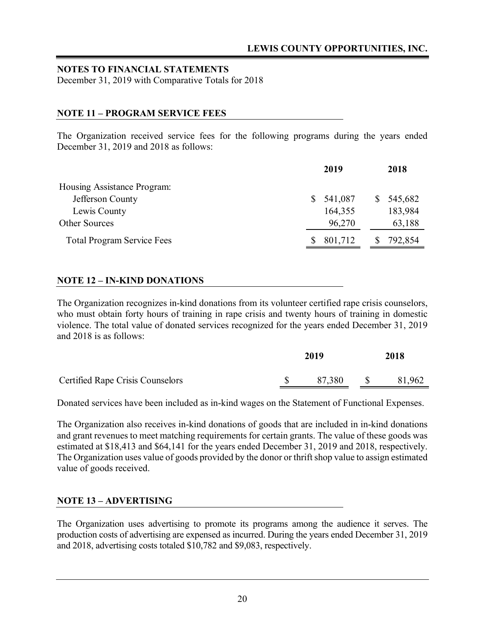December 31, 2019 with Comparative Totals for 2018

### **NOTE 11 – PROGRAM SERVICE FEES**

The Organization received service fees for the following programs during the years ended December 31, 2019 and 2018 as follows:

| 2019    | 2018          |
|---------|---------------|
|         |               |
| 541,087 | \$<br>545,682 |
| 164,355 | 183,984       |
| 96,270  | 63,188        |
| 801,712 | 792,854       |
|         |               |

#### **NOTE 12 – IN-KIND DONATIONS**

The Organization recognizes in-kind donations from its volunteer certified rape crisis counselors, who must obtain forty hours of training in rape crisis and twenty hours of training in domestic violence. The total value of donated services recognized for the years ended December 31, 2019 and 2018 is as follows:

|                                         | 2019   | 2018         |        |  |
|-----------------------------------------|--------|--------------|--------|--|
| <b>Certified Rape Crisis Counselors</b> | 87,380 | <sup>S</sup> | 81,962 |  |

Donated services have been included as in-kind wages on the Statement of Functional Expenses.

The Organization also receives in-kind donations of goods that are included in in-kind donations and grant revenues to meet matching requirements for certain grants. The value of these goods was estimated at \$18,413 and \$64,141 for the years ended December 31, 2019 and 2018, respectively. The Organization uses value of goods provided by the donor or thrift shop value to assign estimated value of goods received.

#### **NOTE 13 – ADVERTISING**

The Organization uses advertising to promote its programs among the audience it serves. The production costs of advertising are expensed as incurred. During the years ended December 31, 2019 and 2018, advertising costs totaled \$10,782 and \$9,083, respectively.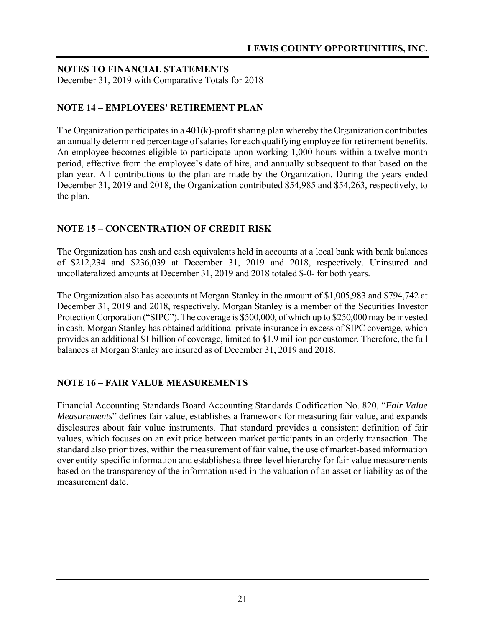December 31, 2019 with Comparative Totals for 2018

### **NOTE 14 – EMPLOYEES' RETIREMENT PLAN**

The Organization participates in a 401(k)-profit sharing plan whereby the Organization contributes an annually determined percentage of salaries for each qualifying employee for retirement benefits. An employee becomes eligible to participate upon working 1,000 hours within a twelve-month period, effective from the employee's date of hire, and annually subsequent to that based on the plan year. All contributions to the plan are made by the Organization. During the years ended December 31, 2019 and 2018, the Organization contributed \$54,985 and \$54,263, respectively, to the plan.

# **NOTE 15 – CONCENTRATION OF CREDIT RISK**

The Organization has cash and cash equivalents held in accounts at a local bank with bank balances of \$212,234 and \$236,039 at December 31, 2019 and 2018, respectively. Uninsured and uncollateralized amounts at December 31, 2019 and 2018 totaled \$-0- for both years.

The Organization also has accounts at Morgan Stanley in the amount of \$1,005,983 and \$794,742 at December 31, 2019 and 2018, respectively. Morgan Stanley is a member of the Securities Investor Protection Corporation ("SIPC"). The coverage is \$500,000, of which up to \$250,000 may be invested in cash. Morgan Stanley has obtained additional private insurance in excess of SIPC coverage, which provides an additional \$1 billion of coverage, limited to \$1.9 million per customer. Therefore, the full balances at Morgan Stanley are insured as of December 31, 2019 and 2018.

### **NOTE 16 – FAIR VALUE MEASUREMENTS**

Financial Accounting Standards Board Accounting Standards Codification No. 820, "*Fair Value Measurements*" defines fair value, establishes a framework for measuring fair value, and expands disclosures about fair value instruments. That standard provides a consistent definition of fair values, which focuses on an exit price between market participants in an orderly transaction. The standard also prioritizes, within the measurement of fair value, the use of market-based information over entity-specific information and establishes a three-level hierarchy for fair value measurements based on the transparency of the information used in the valuation of an asset or liability as of the measurement date.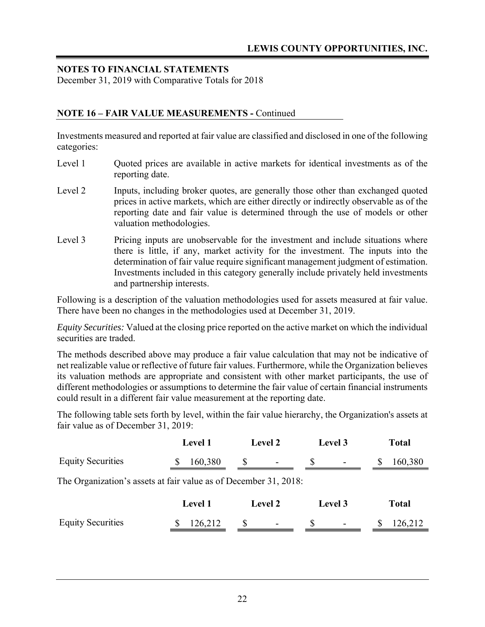December 31, 2019 with Comparative Totals for 2018

### **NOTE 16 – FAIR VALUE MEASUREMENTS -** Continued

Investments measured and reported at fair value are classified and disclosed in one of the following categories:

- Level 1 Cuoted prices are available in active markets for identical investments as of the reporting date.
- Level 2 Inputs, including broker quotes, are generally those other than exchanged quoted prices in active markets, which are either directly or indirectly observable as of the reporting date and fair value is determined through the use of models or other valuation methodologies.
- Level 3 Pricing inputs are unobservable for the investment and include situations where there is little, if any, market activity for the investment. The inputs into the determination of fair value require significant management judgment of estimation. Investments included in this category generally include privately held investments and partnership interests.

Following is a description of the valuation methodologies used for assets measured at fair value. There have been no changes in the methodologies used at December 31, 2019.

*Equity Securities:* Valued at the closing price reported on the active market on which the individual securities are traded.

The methods described above may produce a fair value calculation that may not be indicative of net realizable value or reflective of future fair values. Furthermore, while the Organization believes its valuation methods are appropriate and consistent with other market participants, the use of different methodologies or assumptions to determine the fair value of certain financial instruments could result in a different fair value measurement at the reporting date.

The following table sets forth by level, within the fair value hierarchy, the Organization's assets at fair value as of December 31, 2019:

|                                                                  | <b>Level 1</b> | <b>Level 2</b> | Level 3 | <b>Total</b>            |
|------------------------------------------------------------------|----------------|----------------|---------|-------------------------|
| <b>Equity Securities</b>                                         | 160,380        | <sup>8</sup>   | S       | 160,380<br><sup>8</sup> |
| The Organization's assets at fair value as of December 31, 2018: |                |                |         |                         |
|                                                                  | Level 1        | <b>Level 2</b> | Level 3 | <b>Total</b>            |
| <b>Equity Securities</b>                                         | 126,212        | \$             | \$      | 126,212                 |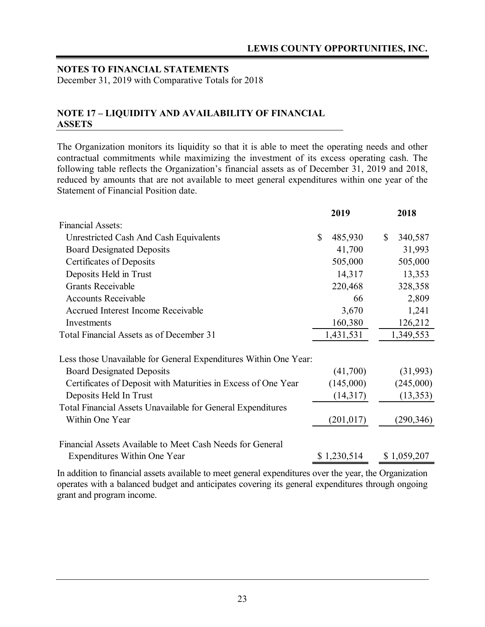December 31, 2019 with Comparative Totals for 2018

#### **NOTE 17 – LIQUIDITY AND AVAILABILITY OF FINANCIAL ASSETS**

The Organization monitors its liquidity so that it is able to meet the operating needs and other contractual commitments while maximizing the investment of its excess operating cash. The following table reflects the Organization's financial assets as of December 31, 2019 and 2018, reduced by amounts that are not available to meet general expenditures within one year of the Statement of Financial Position date.

|                                                                  |              | 2019        | 2018          |
|------------------------------------------------------------------|--------------|-------------|---------------|
| <b>Financial Assets:</b>                                         |              |             |               |
| Unrestricted Cash And Cash Equivalents                           | $\mathbb{S}$ | 485,930     | \$<br>340,587 |
| <b>Board Designated Deposits</b>                                 |              | 41,700      | 31,993        |
| Certificates of Deposits                                         |              | 505,000     | 505,000       |
| Deposits Held in Trust                                           |              | 14,317      | 13,353        |
| <b>Grants Receivable</b>                                         |              | 220,468     | 328,358       |
| <b>Accounts Receivable</b>                                       |              | 66          | 2,809         |
| <b>Accrued Interest Income Receivable</b>                        |              | 3,670       | 1,241         |
| Investments                                                      |              | 160,380     | 126,212       |
| Total Financial Assets as of December 31                         |              | 1,431,531   | 1,349,553     |
| Less those Unavailable for General Expenditures Within One Year: |              |             |               |
| <b>Board Designated Deposits</b>                                 |              | (41,700)    | (31,993)      |
| Certificates of Deposit with Maturities in Excess of One Year    |              | (145,000)   | (245,000)     |
| Deposits Held In Trust                                           |              | (14,317)    | (13, 353)     |
| Total Financial Assets Unavailable for General Expenditures      |              |             |               |
| Within One Year                                                  |              | (201, 017)  | (290, 346)    |
| Financial Assets Available to Meet Cash Needs for General        |              |             |               |
| Expenditures Within One Year                                     |              | \$1,230,514 | \$1,059,207   |
|                                                                  |              |             |               |

In addition to financial assets available to meet general expenditures over the year, the Organization operates with a balanced budget and anticipates covering its general expenditures through ongoing grant and program income.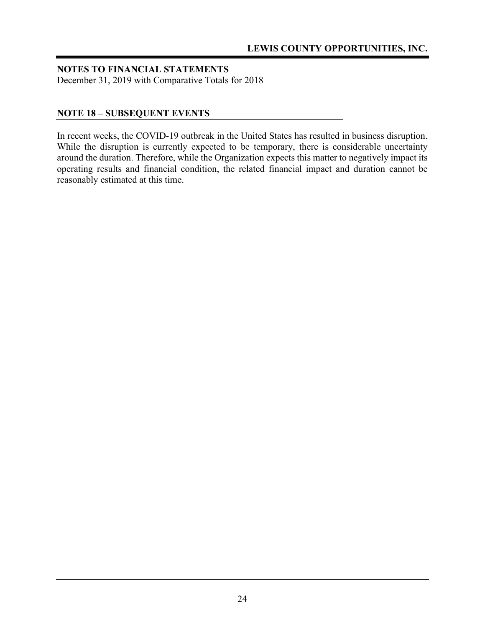December 31, 2019 with Comparative Totals for 2018

### **NOTE 18 – SUBSEQUENT EVENTS**

In recent weeks, the COVID-19 outbreak in the United States has resulted in business disruption. While the disruption is currently expected to be temporary, there is considerable uncertainty around the duration. Therefore, while the Organization expects this matter to negatively impact its operating results and financial condition, the related financial impact and duration cannot be reasonably estimated at this time.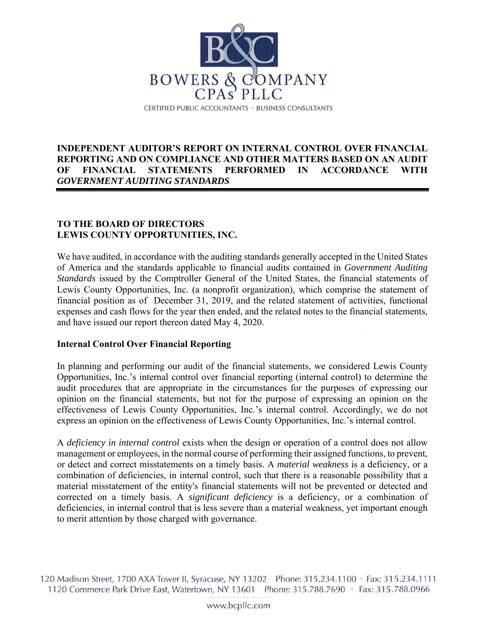

#### **INDEPENDENT AUDITOR'S REPORT ON INTERNAL CONTROL OVER FINANCIAL REPORTING AND ON COMPLIANCE AND OTHER MATTERS BASED ON AN AUDIT OF FINANCIAL STATEMENTS PERFORMED IN ACCORDANCE WITH**  *GOVERNMENT AUDITING STANDARDS*

#### **TO THE BOARD OF DIRECTORS LEWIS COUNTY OPPORTUNITIES, INC.**

We have audited, in accordance with the auditing standards generally accepted in the United States of America and the standards applicable to financial audits contained in *Government Auditing Standards* issued by the Comptroller General of the United States, the financial statements of Lewis County Opportunities, Inc. (a nonprofit organization), which comprise the statement of financial position as of December 31, 2019, and the related statement of activities, functional expenses and cash flows for the year then ended, and the related notes to the financial statements, and have issued our report thereon dated May 4, 2020.

#### **Internal Control Over Financial Reporting**

In planning and performing our audit of the financial statements, we considered Lewis County Opportunities, Inc.'s internal control over financial reporting (internal control) to determine the audit procedures that are appropriate in the circumstances for the purposes of expressing our opinion on the financial statements, but not for the purpose of expressing an opinion on the effectiveness of Lewis County Opportunities, Inc.'s internal control. Accordingly, we do not express an opinion on the effectiveness of Lewis County Opportunities, Inc.'s internal control.

A *deficiency in internal control* exists when the design or operation of a control does not allow management or employees, in the normal course of performing their assigned functions, to prevent, or detect and correct misstatements on a timely basis. A *material weakness* is a deficiency, or a combination of deficiencies, in internal control, such that there is a reasonable possibility that a material misstatement of the entity's financial statements will not be prevented or detected and corrected on a timely basis. A *significant deficiency* is a deficiency, or a combination of deficiencies, in internal control that is less severe than a material weakness, yet important enough to merit attention by those charged with governance.

120 Madison Street, 1700 AXA Tower II, Syracuse, NY 13202 Phone: 315.234.1100 • Fax: 315.234.1111 1120 Commerce Park Drive East, Watertown, NY 13601 Phone: 315.788.7690 • Fax: 315.788.0966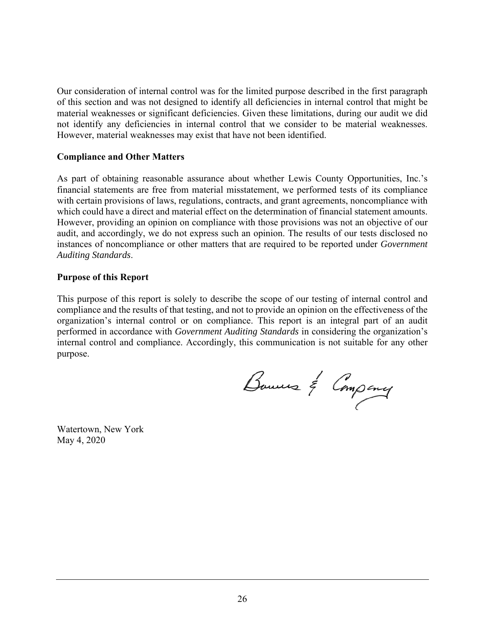Our consideration of internal control was for the limited purpose described in the first paragraph of this section and was not designed to identify all deficiencies in internal control that might be material weaknesses or significant deficiencies. Given these limitations, during our audit we did not identify any deficiencies in internal control that we consider to be material weaknesses. However, material weaknesses may exist that have not been identified.

#### **Compliance and Other Matters**

As part of obtaining reasonable assurance about whether Lewis County Opportunities, Inc.'s financial statements are free from material misstatement, we performed tests of its compliance with certain provisions of laws, regulations, contracts, and grant agreements, noncompliance with which could have a direct and material effect on the determination of financial statement amounts. However, providing an opinion on compliance with those provisions was not an objective of our audit, and accordingly, we do not express such an opinion. The results of our tests disclosed no instances of noncompliance or other matters that are required to be reported under *Government Auditing Standards*.

#### **Purpose of this Report**

This purpose of this report is solely to describe the scope of our testing of internal control and compliance and the results of that testing, and not to provide an opinion on the effectiveness of the organization's internal control or on compliance. This report is an integral part of an audit performed in accordance with *Government Auditing Standards* in considering the organization's internal control and compliance. Accordingly, this communication is not suitable for any other purpose.

Bouwers & Company

Watertown, New York May 4, 2020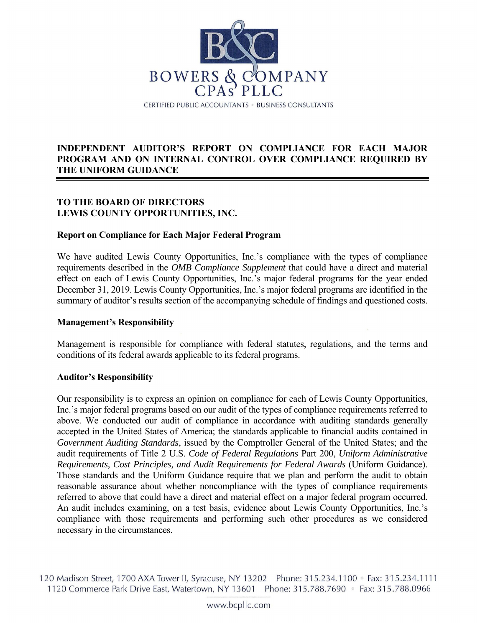

### **INDEPENDENT AUDITOR'S REPORT ON COMPLIANCE FOR EACH MAJOR PROGRAM AND ON INTERNAL CONTROL OVER COMPLIANCE REQUIRED BY THE UNIFORM GUIDANCE**

### **TO THE BOARD OF DIRECTORS LEWIS COUNTY OPPORTUNITIES, INC.**

#### **Report on Compliance for Each Major Federal Program**

We have audited Lewis County Opportunities, Inc.'s compliance with the types of compliance requirements described in the *OMB Compliance Supplement* that could have a direct and material effect on each of Lewis County Opportunities, Inc.'s major federal programs for the year ended December 31, 2019. Lewis County Opportunities, Inc.'s major federal programs are identified in the summary of auditor's results section of the accompanying schedule of findings and questioned costs.

#### **Management's Responsibility**

Management is responsible for compliance with federal statutes, regulations, and the terms and conditions of its federal awards applicable to its federal programs.

#### **Auditor's Responsibility**

Our responsibility is to express an opinion on compliance for each of Lewis County Opportunities, Inc.'s major federal programs based on our audit of the types of compliance requirements referred to above. We conducted our audit of compliance in accordance with auditing standards generally accepted in the United States of America; the standards applicable to financial audits contained in *Government Auditing Standards*, issued by the Comptroller General of the United States; and the audit requirements of Title 2 U.S. *Code of Federal Regulations* Part 200, *Uniform Administrative Requirements, Cost Principles, and Audit Requirements for Federal Awards* (Uniform Guidance). Those standards and the Uniform Guidance require that we plan and perform the audit to obtain reasonable assurance about whether noncompliance with the types of compliance requirements referred to above that could have a direct and material effect on a major federal program occurred. An audit includes examining, on a test basis, evidence about Lewis County Opportunities, Inc.'s compliance with those requirements and performing such other procedures as we considered necessary in the circumstances.

120 Madison Street, 1700 AXA Tower II, Syracuse, NY 13202 Phone: 315.234.1100 • Fax: 315.234.1111 1120 Commerce Park Drive East, Watertown, NY 13601 Phone: 315.788.7690 • Fax: 315.788.0966

www.bcpllc.com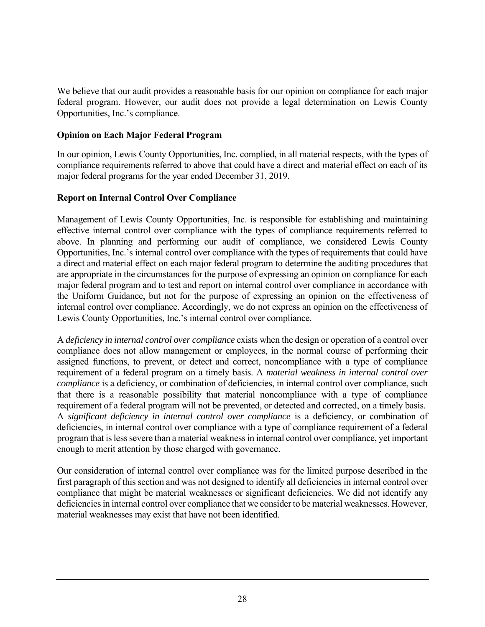We believe that our audit provides a reasonable basis for our opinion on compliance for each major federal program. However, our audit does not provide a legal determination on Lewis County Opportunities, Inc.'s compliance.

### **Opinion on Each Major Federal Program**

In our opinion, Lewis County Opportunities, Inc. complied, in all material respects, with the types of compliance requirements referred to above that could have a direct and material effect on each of its major federal programs for the year ended December 31, 2019.

### **Report on Internal Control Over Compliance**

Management of Lewis County Opportunities, Inc. is responsible for establishing and maintaining effective internal control over compliance with the types of compliance requirements referred to above. In planning and performing our audit of compliance, we considered Lewis County Opportunities, Inc.'s internal control over compliance with the types of requirements that could have a direct and material effect on each major federal program to determine the auditing procedures that are appropriate in the circumstances for the purpose of expressing an opinion on compliance for each major federal program and to test and report on internal control over compliance in accordance with the Uniform Guidance, but not for the purpose of expressing an opinion on the effectiveness of internal control over compliance. Accordingly, we do not express an opinion on the effectiveness of Lewis County Opportunities, Inc.'s internal control over compliance.

A *deficiency in internal control over compliance* exists when the design or operation of a control over compliance does not allow management or employees, in the normal course of performing their assigned functions, to prevent, or detect and correct, noncompliance with a type of compliance requirement of a federal program on a timely basis. A *material weakness in internal control over compliance* is a deficiency, or combination of deficiencies, in internal control over compliance, such that there is a reasonable possibility that material noncompliance with a type of compliance requirement of a federal program will not be prevented, or detected and corrected, on a timely basis. A *significant deficiency in internal control over compliance* is a deficiency, or combination of deficiencies, in internal control over compliance with a type of compliance requirement of a federal program that is less severe than a material weakness in internal control over compliance, yet important enough to merit attention by those charged with governance.

Our consideration of internal control over compliance was for the limited purpose described in the first paragraph of this section and was not designed to identify all deficiencies in internal control over compliance that might be material weaknesses or significant deficiencies. We did not identify any deficiencies in internal control over compliance that we consider to be material weaknesses. However, material weaknesses may exist that have not been identified.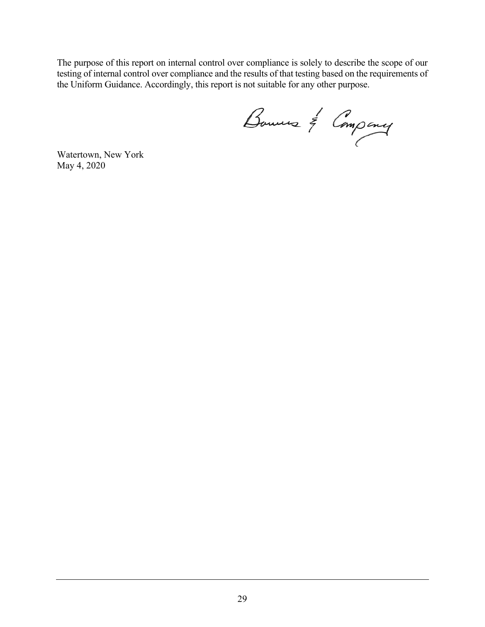The purpose of this report on internal control over compliance is solely to describe the scope of our testing of internal control over compliance and the results of that testing based on the requirements of the Uniform Guidance. Accordingly, this report is not suitable for any other purpose.

Bouwers & Company<br>Watertown, New York

May 4, 2020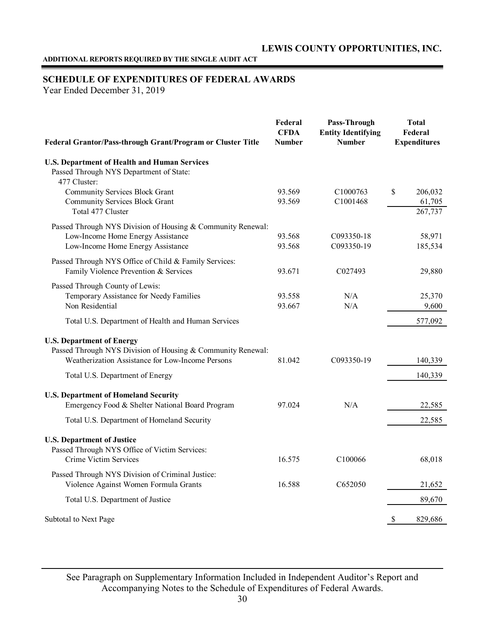#### **ADDITIONAL REPORTS REQUIRED BY THE SINGLE AUDIT ACT**

#### **SCHEDULE OF EXPENDITURES OF FEDERAL AWARDS**

Year Ended December 31, 2019

| Federal Grantor/Pass-through Grant/Program or Cluster Title                                                                                         | Federal<br><b>CFDA</b><br><b>Number</b> | Pass-Through<br><b>Entity Identifying</b><br><b>Number</b> | <b>Total</b><br>Federal<br><b>Expenditures</b> |  |
|-----------------------------------------------------------------------------------------------------------------------------------------------------|-----------------------------------------|------------------------------------------------------------|------------------------------------------------|--|
| <b>U.S. Department of Health and Human Services</b><br>Passed Through NYS Department of State:<br>477 Cluster:                                      |                                         |                                                            |                                                |  |
| <b>Community Services Block Grant</b><br><b>Community Services Block Grant</b><br>Total 477 Cluster                                                 | 93.569<br>93.569                        | C1000763<br>C <sub>1001468</sub>                           | $\mathbb{S}$<br>206,032<br>61,705<br>267,737   |  |
| Passed Through NYS Division of Housing & Community Renewal:<br>Low-Income Home Energy Assistance<br>Low-Income Home Energy Assistance               | 93.568<br>93.568                        | C093350-18<br>C093350-19                                   | 58,971<br>185,534                              |  |
| Passed Through NYS Office of Child & Family Services:<br>Family Violence Prevention & Services                                                      | 93.671                                  | C027493                                                    | 29,880                                         |  |
| Passed Through County of Lewis:<br>Temporary Assistance for Needy Families<br>Non Residential                                                       | 93.558<br>93.667                        | N/A<br>N/A                                                 | 25,370<br>9,600                                |  |
| Total U.S. Department of Health and Human Services                                                                                                  |                                         |                                                            | 577,092                                        |  |
| <b>U.S. Department of Energy</b><br>Passed Through NYS Division of Housing & Community Renewal:<br>Weatherization Assistance for Low-Income Persons | 81.042                                  | C093350-19                                                 | 140,339                                        |  |
| Total U.S. Department of Energy                                                                                                                     |                                         |                                                            | 140,339                                        |  |
| <b>U.S. Department of Homeland Security</b><br>Emergency Food & Shelter National Board Program                                                      | 97.024                                  | N/A                                                        | 22,585                                         |  |
| Total U.S. Department of Homeland Security                                                                                                          |                                         |                                                            | 22,585                                         |  |
| <b>U.S. Department of Justice</b><br>Passed Through NYS Office of Victim Services:<br>Crime Victim Services                                         | 16.575                                  | C100066                                                    | 68,018                                         |  |
| Passed Through NYS Division of Criminal Justice:<br>Violence Against Women Formula Grants                                                           | 16.588                                  | C <sub>652050</sub>                                        | 21,652                                         |  |
| Total U.S. Department of Justice                                                                                                                    |                                         |                                                            | 89,670                                         |  |
| Subtotal to Next Page                                                                                                                               |                                         |                                                            | <sup>\$</sup><br>829,686                       |  |

See Paragraph on Supplementary Information Included in Independent Auditor's Report and Accompanying Notes to the Schedule of Expenditures of Federal Awards.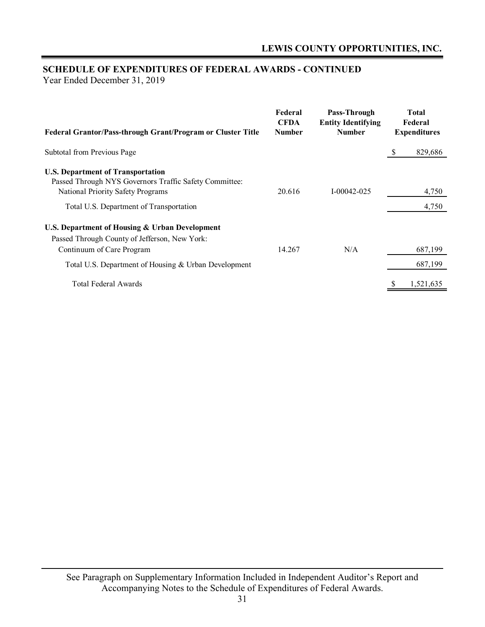# **SCHEDULE OF EXPENDITURES OF FEDERAL AWARDS - CONTINUED**

Year Ended December 31, 2019

| Federal Grantor/Pass-through Grant/Program or Cluster Title                                                                             | Federal<br><b>CFDA</b><br><b>Number</b> | Pass-Through<br><b>Entity Identifying</b><br><b>Number</b> |              | <b>Total</b><br>Federal<br><b>Expenditures</b> |
|-----------------------------------------------------------------------------------------------------------------------------------------|-----------------------------------------|------------------------------------------------------------|--------------|------------------------------------------------|
| Subtotal from Previous Page                                                                                                             |                                         |                                                            | <sup>8</sup> | 829,686                                        |
| <b>U.S. Department of Transportation</b><br>Passed Through NYS Governors Traffic Safety Committee:<br>National Priority Safety Programs | 20.616                                  | $I - 00042 - 025$                                          |              | 4,750                                          |
| Total U.S. Department of Transportation                                                                                                 |                                         |                                                            |              | 4,750                                          |
| U.S. Department of Housing & Urban Development<br>Passed Through County of Jefferson, New York:<br>Continuum of Care Program            | 14.267                                  | N/A                                                        |              | 687.199                                        |
| Total U.S. Department of Housing & Urban Development                                                                                    |                                         |                                                            |              | 687,199                                        |
| Total Federal Awards                                                                                                                    |                                         |                                                            | S            | 1,521,635                                      |

See Paragraph on Supplementary Information Included in Independent Auditor's Report and Accompanying Notes to the Schedule of Expenditures of Federal Awards.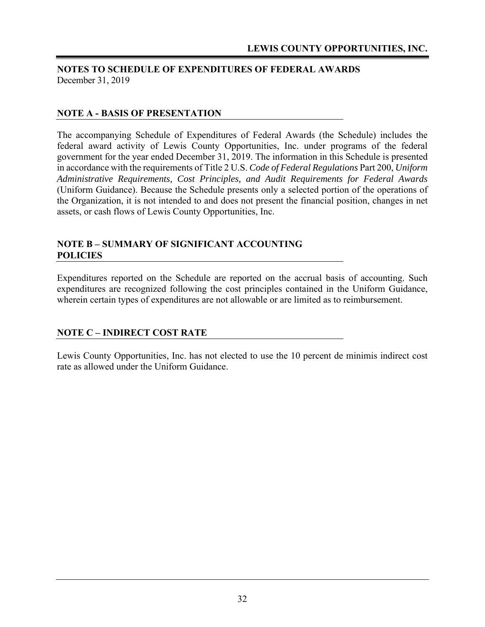### **NOTES TO SCHEDULE OF EXPENDITURES OF FEDERAL AWARDS**  December 31, 2019

### **NOTE A - BASIS OF PRESENTATION**

The accompanying Schedule of Expenditures of Federal Awards (the Schedule) includes the federal award activity of Lewis County Opportunities, Inc. under programs of the federal government for the year ended December 31, 2019. The information in this Schedule is presented in accordance with the requirements of Title 2 U.S. *Code of Federal Regulations* Part 200, *Uniform Administrative Requirements, Cost Principles, and Audit Requirements for Federal Awards* (Uniform Guidance). Because the Schedule presents only a selected portion of the operations of the Organization, it is not intended to and does not present the financial position, changes in net assets, or cash flows of Lewis County Opportunities, Inc.

#### **NOTE B – SUMMARY OF SIGNIFICANT ACCOUNTING POLICIES**

Expenditures reported on the Schedule are reported on the accrual basis of accounting. Such expenditures are recognized following the cost principles contained in the Uniform Guidance, wherein certain types of expenditures are not allowable or are limited as to reimbursement.

### **NOTE C – INDIRECT COST RATE**

Lewis County Opportunities, Inc. has not elected to use the 10 percent de minimis indirect cost rate as allowed under the Uniform Guidance.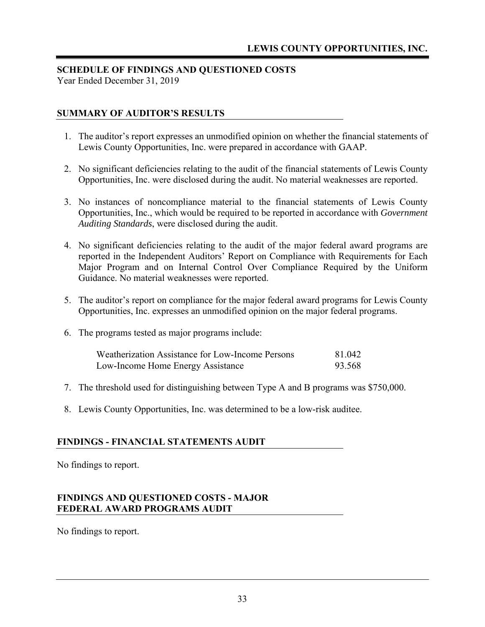### **SCHEDULE OF FINDINGS AND QUESTIONED COSTS**

Year Ended December 31, 2019

### **SUMMARY OF AUDITOR'S RESULTS**

- 1. The auditor's report expresses an unmodified opinion on whether the financial statements of Lewis County Opportunities, Inc. were prepared in accordance with GAAP.
- 2. No significant deficiencies relating to the audit of the financial statements of Lewis County Opportunities, Inc. were disclosed during the audit. No material weaknesses are reported.
- 3. No instances of noncompliance material to the financial statements of Lewis County Opportunities, Inc., which would be required to be reported in accordance with *Government Auditing Standards*, were disclosed during the audit.
- 4. No significant deficiencies relating to the audit of the major federal award programs are reported in the Independent Auditors' Report on Compliance with Requirements for Each Major Program and on Internal Control Over Compliance Required by the Uniform Guidance. No material weaknesses were reported.
- 5. The auditor's report on compliance for the major federal award programs for Lewis County Opportunities, Inc. expresses an unmodified opinion on the major federal programs.
- 6. The programs tested as major programs include:

| <b>Weatherization Assistance for Low-Income Persons</b> | 81.042 |
|---------------------------------------------------------|--------|
| Low-Income Home Energy Assistance                       | 93.568 |

- 7. The threshold used for distinguishing between Type A and B programs was \$750,000.
- 8. Lewis County Opportunities, Inc. was determined to be a low-risk auditee.

#### **FINDINGS - FINANCIAL STATEMENTS AUDIT**

No findings to report.

### **FINDINGS AND QUESTIONED COSTS - MAJOR FEDERAL AWARD PROGRAMS AUDIT**

No findings to report.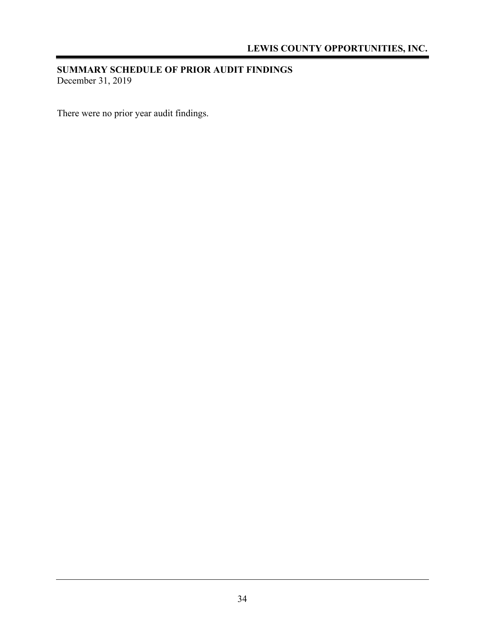### **SUMMARY SCHEDULE OF PRIOR AUDIT FINDINGS**  December 31, 2019

There were no prior year audit findings.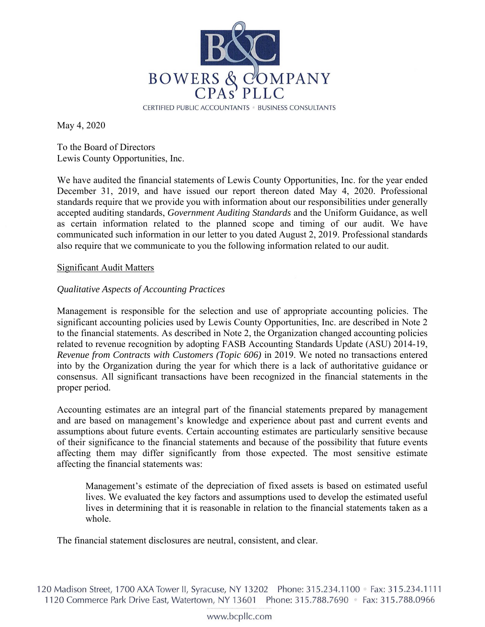

May 4, 2020

To the Board of Directors Lewis County Opportunities, Inc.

We have audited the financial statements of Lewis County Opportunities, Inc. for the year ended December 31, 2019, and have issued our report thereon dated May 4, 2020. Professional standards require that we provide you with information about our responsibilities under generally accepted auditing standards, *Government Auditing Standards* and the Uniform Guidance, as well as certain information related to the planned scope and timing of our audit. We have communicated such information in our letter to you dated August 2, 2019. Professional standards also require that we communicate to you the following information related to our audit.

#### Significant Audit Matters

#### *Qualitative Aspects of Accounting Practices*

Management is responsible for the selection and use of appropriate accounting policies. The significant accounting policies used by Lewis County Opportunities, Inc. are described in Note 2 to the financial statements. As described in Note 2, the Organization changed accounting policies related to revenue recognition by adopting FASB Accounting Standards Update (ASU) 2014-19, *Revenue from Contracts with Customers (Topic 606)* in 2019. We noted no transactions entered into by the Organization during the year for which there is a lack of authoritative guidance or consensus. All significant transactions have been recognized in the financial statements in the proper period.

Accounting estimates are an integral part of the financial statements prepared by management and are based on management's knowledge and experience about past and current events and assumptions about future events. Certain accounting estimates are particularly sensitive because of their significance to the financial statements and because of the possibility that future events affecting them may differ significantly from those expected. The most sensitive estimate affecting the financial statements was:

Management's estimate of the depreciation of fixed assets is based on estimated useful lives. We evaluated the key factors and assumptions used to develop the estimated useful lives in determining that it is reasonable in relation to the financial statements taken as a whole.

The financial statement disclosures are neutral, consistent, and clear.

120 Madison Street, 1700 AXA Tower II, Syracuse, NY 13202 Phone: 315.234.1100 • Fax: 315.234.1111 1120 Commerce Park Drive East, Watertown, NY 13601 Phone: 315.788.7690 • Fax: 315.788.0966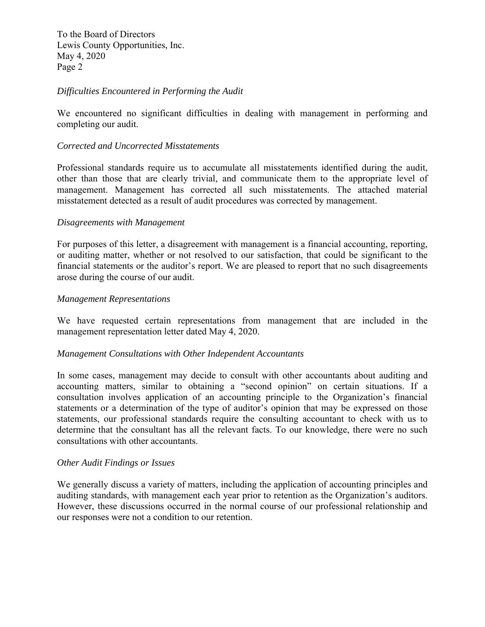To the Board of Directors Lewis County Opportunities, Inc. May 4, 2020 Page 2

#### *Difficulties Encountered in Performing the Audit*

We encountered no significant difficulties in dealing with management in performing and completing our audit.

#### *Corrected and Uncorrected Misstatements*

Professional standards require us to accumulate all misstatements identified during the audit, other than those that are clearly trivial, and communicate them to the appropriate level of management. Management has corrected all such misstatements. The attached material misstatement detected as a result of audit procedures was corrected by management.

#### *Disagreements with Management*

For purposes of this letter, a disagreement with management is a financial accounting, reporting, or auditing matter, whether or not resolved to our satisfaction, that could be significant to the financial statements or the auditor's report. We are pleased to report that no such disagreements arose during the course of our audit.

#### *Management Representations*

We have requested certain representations from management that are included in the management representation letter dated May 4, 2020.

#### *Management Consultations with Other Independent Accountants*

In some cases, management may decide to consult with other accountants about auditing and accounting matters, similar to obtaining a "second opinion" on certain situations. If a consultation involves application of an accounting principle to the Organization's financial statements or a determination of the type of auditor's opinion that may be expressed on those statements, our professional standards require the consulting accountant to check with us to determine that the consultant has all the relevant facts. To our knowledge, there were no such consultations with other accountants.

#### *Other Audit Findings or Issues*

We generally discuss a variety of matters, including the application of accounting principles and auditing standards, with management each year prior to retention as the Organization's auditors. However, these discussions occurred in the normal course of our professional relationship and our responses were not a condition to our retention.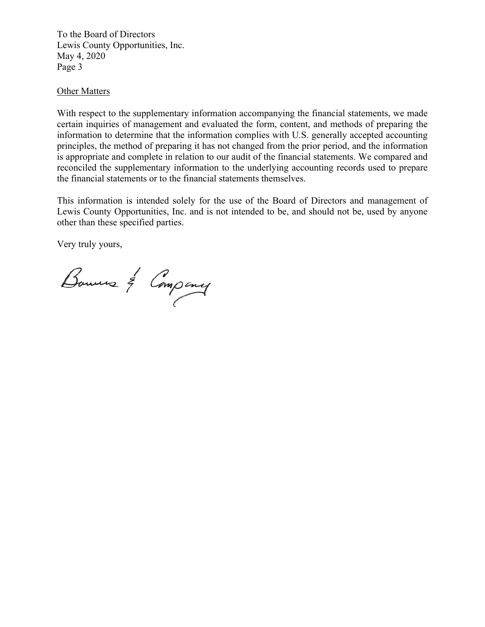To the Board of Directors Lewis County Opportunities, Inc. May 4, 2020 Page 3

#### **Other Matters**

With respect to the supplementary information accompanying the financial statements, we made certain inquiries of management and evaluated the form, content, and methods of preparing the information to determine that the information complies with U.S. generally accepted accounting principles, the method of preparing it has not changed from the prior period, and the information is appropriate and complete in relation to our audit of the financial statements. We compared and reconciled the supplementary information to the underlying accounting records used to prepare the financial statements or to the financial statements themselves.

This information is intended solely for the use of the Board of Directors and management of Lewis County Opportunities, Inc. and is not intended to be, and should not be, used by anyone other than these specified parties.

Very truly yours,

Bouwers & Company